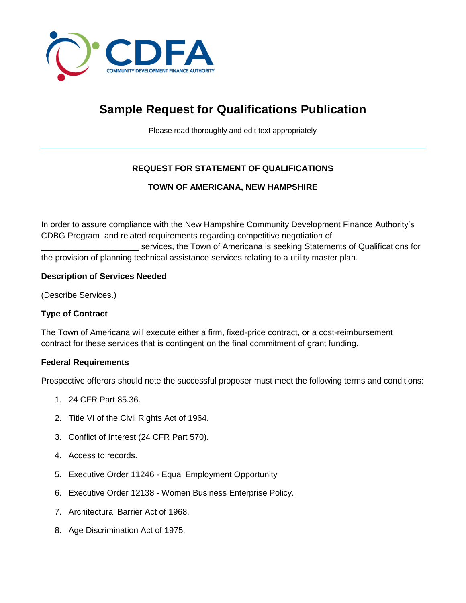

# **Sample Request for Qualifications Publication**

Please read thoroughly and edit text appropriately

# **REQUEST FOR STATEMENT OF QUALIFICATIONS**

## **TOWN OF AMERICANA, NEW HAMPSHIRE**

In order to assure compliance with the New Hampshire Community Development Finance Authority's CDBG Program and related requirements regarding competitive negotiation of

services, the Town of Americana is seeking Statements of Qualifications for the provision of planning technical assistance services relating to a utility master plan.

## **Description of Services Needed**

(Describe Services.)

## **Type of Contract**

The Town of Americana will execute either a firm, fixed-price contract, or a cost-reimbursement contract for these services that is contingent on the final commitment of grant funding.

## **Federal Requirements**

Prospective offerors should note the successful proposer must meet the following terms and conditions:

- 1. 24 CFR Part 85.36.
- 2. Title VI of the Civil Rights Act of 1964.
- 3. Conflict of Interest (24 CFR Part 570).
- 4. Access to records.
- 5. Executive Order 11246 Equal Employment Opportunity
- 6. Executive Order 12138 Women Business Enterprise Policy.
- 7. Architectural Barrier Act of 1968.
- 8. Age Discrimination Act of 1975.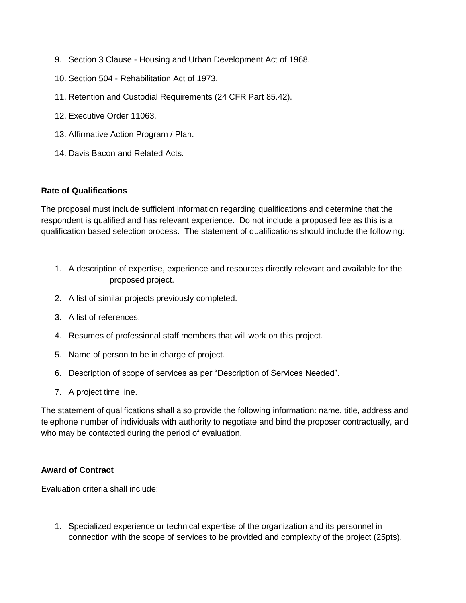- 9. Section 3 Clause Housing and Urban Development Act of 1968.
- 10. Section 504 Rehabilitation Act of 1973.
- 11. Retention and Custodial Requirements (24 CFR Part 85.42).
- 12. Executive Order 11063.
- 13. Affirmative Action Program / Plan.
- 14. Davis Bacon and Related Acts.

#### **Rate of Qualifications**

The proposal must include sufficient information regarding qualifications and determine that the respondent is qualified and has relevant experience. Do not include a proposed fee as this is a qualification based selection process. The statement of qualifications should include the following:

- 1. A description of expertise, experience and resources directly relevant and available for the proposed project.
- 2. A list of similar projects previously completed.
- 3. A list of references.
- 4. Resumes of professional staff members that will work on this project.
- 5. Name of person to be in charge of project.
- 6. Description of scope of services as per "Description of Services Needed".
- 7. A project time line.

The statement of qualifications shall also provide the following information: name, title, address and telephone number of individuals with authority to negotiate and bind the proposer contractually, and who may be contacted during the period of evaluation.

#### **Award of Contract**

Evaluation criteria shall include:

1. Specialized experience or technical expertise of the organization and its personnel in connection with the scope of services to be provided and complexity of the project (25pts).